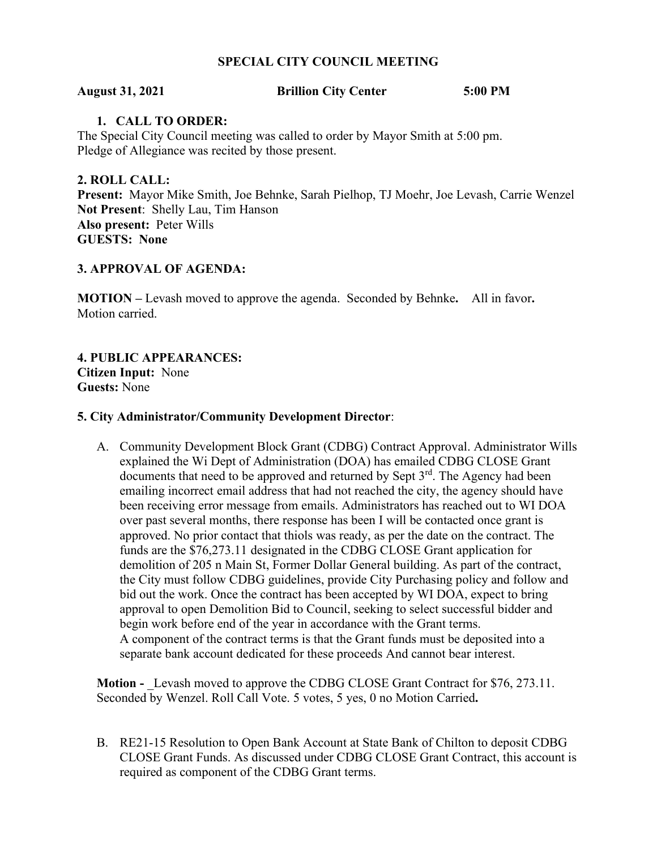# **SPECIAL CITY COUNCIL MEETING**

### **August 31, 2021 Brillion City Center 5:00 PM**

# **1. CALL TO ORDER:**

The Special City Council meeting was called to order by Mayor Smith at 5:00 pm. Pledge of Allegiance was recited by those present.

**2. ROLL CALL: Present:** Mayor Mike Smith, Joe Behnke, Sarah Pielhop, TJ Moehr, Joe Levash, Carrie Wenzel **Not Present**: Shelly Lau, Tim Hanson **Also present:** Peter Wills **GUESTS: None**

## **3. APPROVAL OF AGENDA:**

**MOTION –** Levash moved to approve the agenda. Seconded by Behnke**.** All in favor**.**  Motion carried.

**4. PUBLIC APPEARANCES: Citizen Input:** None **Guests:** None

### **5. City Administrator/Community Development Director**:

A. Community Development Block Grant (CDBG) Contract Approval. Administrator Wills explained the Wi Dept of Administration (DOA) has emailed CDBG CLOSE Grant documents that need to be approved and returned by Sept  $3<sup>rd</sup>$ . The Agency had been emailing incorrect email address that had not reached the city, the agency should have been receiving error message from emails. Administrators has reached out to WI DOA over past several months, there response has been I will be contacted once grant is approved. No prior contact that thiols was ready, as per the date on the contract. The funds are the \$76,273.11 designated in the CDBG CLOSE Grant application for demolition of 205 n Main St, Former Dollar General building. As part of the contract, the City must follow CDBG guidelines, provide City Purchasing policy and follow and bid out the work. Once the contract has been accepted by WI DOA, expect to bring approval to open Demolition Bid to Council, seeking to select successful bidder and begin work before end of the year in accordance with the Grant terms. A component of the contract terms is that the Grant funds must be deposited into a separate bank account dedicated for these proceeds And cannot bear interest.

**Motion -** Levash moved to approve the CDBG CLOSE Grant Contract for \$76, 273.11. Seconded by Wenzel. Roll Call Vote. 5 votes, 5 yes, 0 no Motion Carried**.** 

B. RE21-15 Resolution to Open Bank Account at State Bank of Chilton to deposit CDBG CLOSE Grant Funds. As discussed under CDBG CLOSE Grant Contract, this account is required as component of the CDBG Grant terms.